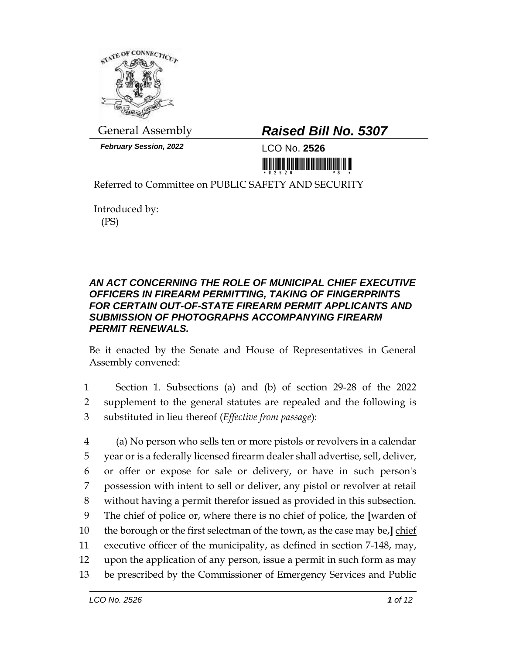

*February Session, 2022* LCO No. **2526**

## General Assembly *Raised Bill No. 5307*

<u> III di kacamatan ing Kabupatèn III di kacamatan ing Kabupatèn III di kacamatan III di kacamatan III di kacamatan III di kacamatan III di kacamatan III di kacamatan III di kacamatan III di kacamatan III di kacamatan III d</u>

Referred to Committee on PUBLIC SAFETY AND SECURITY

Introduced by: (PS)

## *AN ACT CONCERNING THE ROLE OF MUNICIPAL CHIEF EXECUTIVE OFFICERS IN FIREARM PERMITTING, TAKING OF FINGERPRINTS FOR CERTAIN OUT-OF-STATE FIREARM PERMIT APPLICANTS AND SUBMISSION OF PHOTOGRAPHS ACCOMPANYING FIREARM PERMIT RENEWALS.*

Be it enacted by the Senate and House of Representatives in General Assembly convened:

1 Section 1. Subsections (a) and (b) of section 29-28 of the 2022 2 supplement to the general statutes are repealed and the following is 3 substituted in lieu thereof (*Effective from passage*):

 (a) No person who sells ten or more pistols or revolvers in a calendar year or is a federally licensed firearm dealer shall advertise, sell, deliver, or offer or expose for sale or delivery, or have in such person's possession with intent to sell or deliver, any pistol or revolver at retail without having a permit therefor issued as provided in this subsection. The chief of police or, where there is no chief of police, the **[**warden of the borough or the first selectman of the town, as the case may be,**]** chief 11 executive officer of the municipality, as defined in section 7-148, may, upon the application of any person, issue a permit in such form as may be prescribed by the Commissioner of Emergency Services and Public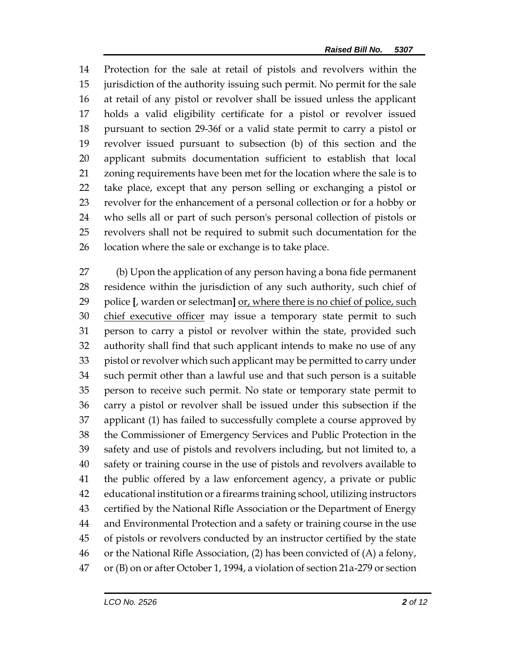Protection for the sale at retail of pistols and revolvers within the jurisdiction of the authority issuing such permit. No permit for the sale at retail of any pistol or revolver shall be issued unless the applicant holds a valid eligibility certificate for a pistol or revolver issued pursuant to section 29-36f or a valid state permit to carry a pistol or revolver issued pursuant to subsection (b) of this section and the applicant submits documentation sufficient to establish that local zoning requirements have been met for the location where the sale is to take place, except that any person selling or exchanging a pistol or revolver for the enhancement of a personal collection or for a hobby or who sells all or part of such person's personal collection of pistols or revolvers shall not be required to submit such documentation for the location where the sale or exchange is to take place.

 (b) Upon the application of any person having a bona fide permanent residence within the jurisdiction of any such authority, such chief of police **[**, warden or selectman**]** or, where there is no chief of police, such chief executive officer may issue a temporary state permit to such person to carry a pistol or revolver within the state, provided such authority shall find that such applicant intends to make no use of any pistol or revolver which such applicant may be permitted to carry under such permit other than a lawful use and that such person is a suitable person to receive such permit. No state or temporary state permit to carry a pistol or revolver shall be issued under this subsection if the applicant (1) has failed to successfully complete a course approved by the Commissioner of Emergency Services and Public Protection in the safety and use of pistols and revolvers including, but not limited to, a safety or training course in the use of pistols and revolvers available to the public offered by a law enforcement agency, a private or public educational institution or a firearms training school, utilizing instructors certified by the National Rifle Association or the Department of Energy and Environmental Protection and a safety or training course in the use of pistols or revolvers conducted by an instructor certified by the state or the National Rifle Association, (2) has been convicted of (A) a felony, or (B) on or after October 1, 1994, a violation of section 21a-279 or section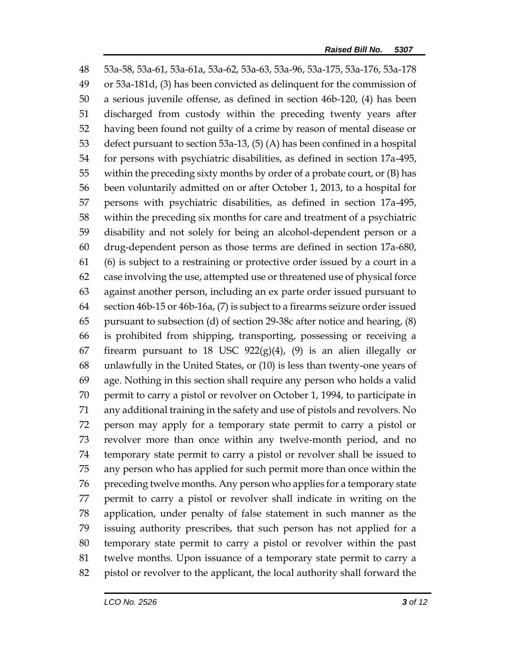53a-58, 53a-61, 53a-61a, 53a-62, 53a-63, 53a-96, 53a-175, 53a-176, 53a-178 or 53a-181d, (3) has been convicted as delinquent for the commission of a serious juvenile offense, as defined in section 46b-120, (4) has been discharged from custody within the preceding twenty years after having been found not guilty of a crime by reason of mental disease or defect pursuant to section 53a-13, (5) (A) has been confined in a hospital for persons with psychiatric disabilities, as defined in section 17a-495, within the preceding sixty months by order of a probate court, or (B) has been voluntarily admitted on or after October 1, 2013, to a hospital for persons with psychiatric disabilities, as defined in section 17a-495, within the preceding six months for care and treatment of a psychiatric disability and not solely for being an alcohol-dependent person or a drug-dependent person as those terms are defined in section 17a-680, (6) is subject to a restraining or protective order issued by a court in a case involving the use, attempted use or threatened use of physical force against another person, including an ex parte order issued pursuant to section 46b-15 or 46b-16a, (7) is subject to a firearms seizure order issued pursuant to subsection (d) of section 29-38c after notice and hearing, (8) is prohibited from shipping, transporting, possessing or receiving a 67 firearm pursuant to 18 USC  $922(g)(4)$ , (9) is an alien illegally or unlawfully in the United States, or (10) is less than twenty-one years of age. Nothing in this section shall require any person who holds a valid permit to carry a pistol or revolver on October 1, 1994, to participate in any additional training in the safety and use of pistols and revolvers. No person may apply for a temporary state permit to carry a pistol or revolver more than once within any twelve-month period, and no temporary state permit to carry a pistol or revolver shall be issued to any person who has applied for such permit more than once within the preceding twelve months. Any person who applies for a temporary state permit to carry a pistol or revolver shall indicate in writing on the application, under penalty of false statement in such manner as the issuing authority prescribes, that such person has not applied for a temporary state permit to carry a pistol or revolver within the past twelve months. Upon issuance of a temporary state permit to carry a pistol or revolver to the applicant, the local authority shall forward the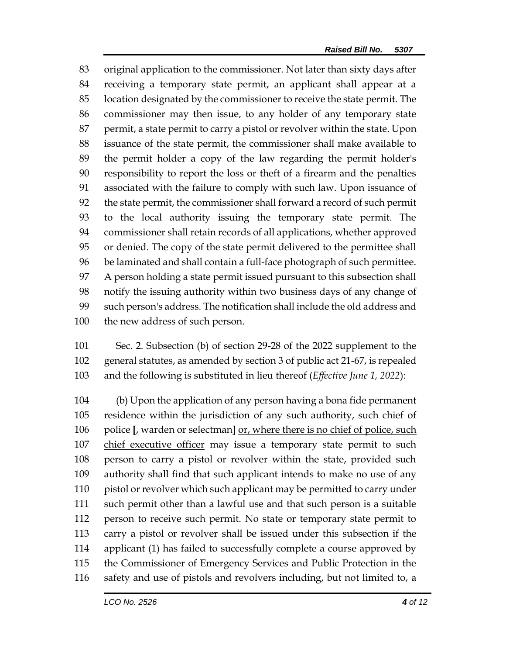original application to the commissioner. Not later than sixty days after receiving a temporary state permit, an applicant shall appear at a location designated by the commissioner to receive the state permit. The commissioner may then issue, to any holder of any temporary state permit, a state permit to carry a pistol or revolver within the state. Upon issuance of the state permit, the commissioner shall make available to the permit holder a copy of the law regarding the permit holder's responsibility to report the loss or theft of a firearm and the penalties associated with the failure to comply with such law. Upon issuance of the state permit, the commissioner shall forward a record of such permit to the local authority issuing the temporary state permit. The commissioner shall retain records of all applications, whether approved or denied. The copy of the state permit delivered to the permittee shall be laminated and shall contain a full-face photograph of such permittee. A person holding a state permit issued pursuant to this subsection shall notify the issuing authority within two business days of any change of such person's address. The notification shall include the old address and the new address of such person.

 Sec. 2. Subsection (b) of section 29-28 of the 2022 supplement to the general statutes, as amended by section 3 of public act 21-67, is repealed and the following is substituted in lieu thereof (*Effective June 1, 2022*):

 (b) Upon the application of any person having a bona fide permanent residence within the jurisdiction of any such authority, such chief of police **[**, warden or selectman**]** or, where there is no chief of police, such 107 chief executive officer may issue a temporary state permit to such person to carry a pistol or revolver within the state, provided such authority shall find that such applicant intends to make no use of any 110 pistol or revolver which such applicant may be permitted to carry under such permit other than a lawful use and that such person is a suitable person to receive such permit. No state or temporary state permit to carry a pistol or revolver shall be issued under this subsection if the applicant (1) has failed to successfully complete a course approved by the Commissioner of Emergency Services and Public Protection in the safety and use of pistols and revolvers including, but not limited to, a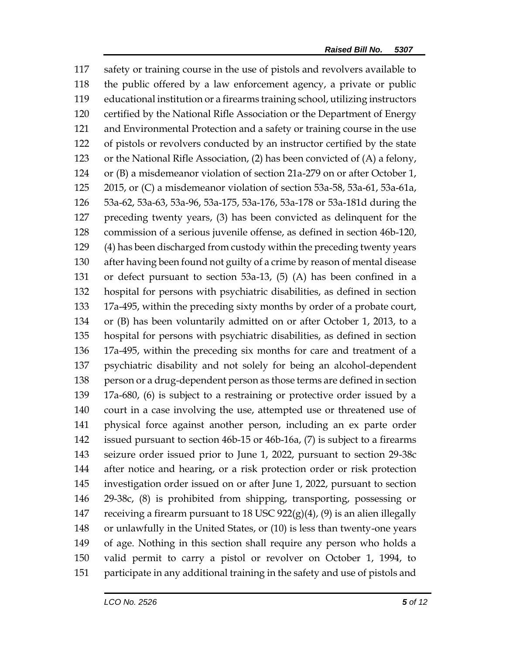safety or training course in the use of pistols and revolvers available to the public offered by a law enforcement agency, a private or public educational institution or a firearms training school, utilizing instructors certified by the National Rifle Association or the Department of Energy and Environmental Protection and a safety or training course in the use of pistols or revolvers conducted by an instructor certified by the state or the National Rifle Association, (2) has been convicted of (A) a felony, or (B) a misdemeanor violation of section 21a-279 on or after October 1, 2015, or (C) a misdemeanor violation of section 53a-58, 53a-61, 53a-61a, 53a-62, 53a-63, 53a-96, 53a-175, 53a-176, 53a-178 or 53a-181d during the preceding twenty years, (3) has been convicted as delinquent for the commission of a serious juvenile offense, as defined in section 46b-120, (4) has been discharged from custody within the preceding twenty years after having been found not guilty of a crime by reason of mental disease or defect pursuant to section 53a-13, (5) (A) has been confined in a hospital for persons with psychiatric disabilities, as defined in section 17a-495, within the preceding sixty months by order of a probate court, or (B) has been voluntarily admitted on or after October 1, 2013, to a hospital for persons with psychiatric disabilities, as defined in section 17a-495, within the preceding six months for care and treatment of a psychiatric disability and not solely for being an alcohol-dependent 138 person or a drug-dependent person as those terms are defined in section 17a-680, (6) is subject to a restraining or protective order issued by a court in a case involving the use, attempted use or threatened use of physical force against another person, including an ex parte order issued pursuant to section 46b-15 or 46b-16a, (7) is subject to a firearms seizure order issued prior to June 1, 2022, pursuant to section 29-38c after notice and hearing, or a risk protection order or risk protection investigation order issued on or after June 1, 2022, pursuant to section 29-38c, (8) is prohibited from shipping, transporting, possessing or 147 receiving a firearm pursuant to 18 USC  $922(g)(4)$ , (9) is an alien illegally or unlawfully in the United States, or (10) is less than twenty-one years of age. Nothing in this section shall require any person who holds a valid permit to carry a pistol or revolver on October 1, 1994, to participate in any additional training in the safety and use of pistols and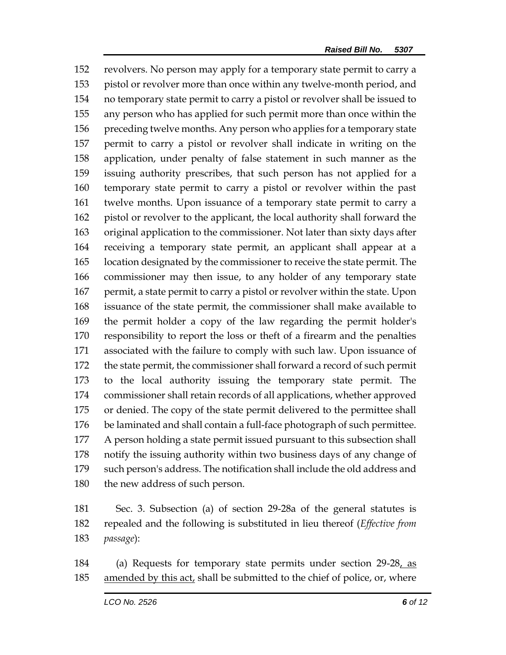revolvers. No person may apply for a temporary state permit to carry a pistol or revolver more than once within any twelve-month period, and no temporary state permit to carry a pistol or revolver shall be issued to any person who has applied for such permit more than once within the preceding twelve months. Any person who applies for a temporary state permit to carry a pistol or revolver shall indicate in writing on the application, under penalty of false statement in such manner as the issuing authority prescribes, that such person has not applied for a temporary state permit to carry a pistol or revolver within the past twelve months. Upon issuance of a temporary state permit to carry a pistol or revolver to the applicant, the local authority shall forward the original application to the commissioner. Not later than sixty days after receiving a temporary state permit, an applicant shall appear at a location designated by the commissioner to receive the state permit. The commissioner may then issue, to any holder of any temporary state permit, a state permit to carry a pistol or revolver within the state. Upon issuance of the state permit, the commissioner shall make available to the permit holder a copy of the law regarding the permit holder's responsibility to report the loss or theft of a firearm and the penalties associated with the failure to comply with such law. Upon issuance of the state permit, the commissioner shall forward a record of such permit to the local authority issuing the temporary state permit. The commissioner shall retain records of all applications, whether approved or denied. The copy of the state permit delivered to the permittee shall be laminated and shall contain a full-face photograph of such permittee. A person holding a state permit issued pursuant to this subsection shall notify the issuing authority within two business days of any change of such person's address. The notification shall include the old address and the new address of such person.

 Sec. 3. Subsection (a) of section 29-28a of the general statutes is repealed and the following is substituted in lieu thereof (*Effective from passage*):

184 (a) Requests for temporary state permits under section 29-28, as 185 amended by this act, shall be submitted to the chief of police, or, where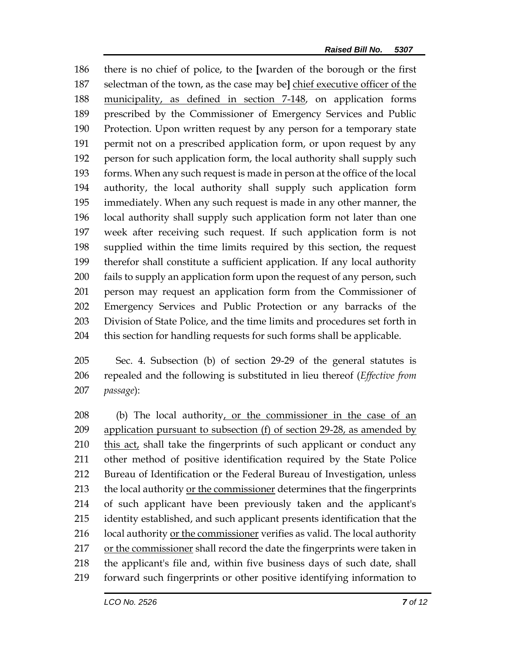there is no chief of police, to the **[**warden of the borough or the first selectman of the town, as the case may be**]** chief executive officer of the municipality, as defined in section 7-148, on application forms prescribed by the Commissioner of Emergency Services and Public Protection. Upon written request by any person for a temporary state permit not on a prescribed application form, or upon request by any person for such application form, the local authority shall supply such forms. When any such request is made in person at the office of the local authority, the local authority shall supply such application form immediately. When any such request is made in any other manner, the local authority shall supply such application form not later than one week after receiving such request. If such application form is not supplied within the time limits required by this section, the request therefor shall constitute a sufficient application. If any local authority fails to supply an application form upon the request of any person, such person may request an application form from the Commissioner of Emergency Services and Public Protection or any barracks of the Division of State Police, and the time limits and procedures set forth in this section for handling requests for such forms shall be applicable.

 Sec. 4. Subsection (b) of section 29-29 of the general statutes is repealed and the following is substituted in lieu thereof (*Effective from passage*):

 (b) The local authority, or the commissioner in the case of an application pursuant to subsection (f) of section 29-28, as amended by 210 this act, shall take the fingerprints of such applicant or conduct any other method of positive identification required by the State Police Bureau of Identification or the Federal Bureau of Investigation, unless the local authority or the commissioner determines that the fingerprints of such applicant have been previously taken and the applicant's identity established, and such applicant presents identification that the local authority or the commissioner verifies as valid. The local authority 217 or the commissioner shall record the date the fingerprints were taken in the applicant's file and, within five business days of such date, shall forward such fingerprints or other positive identifying information to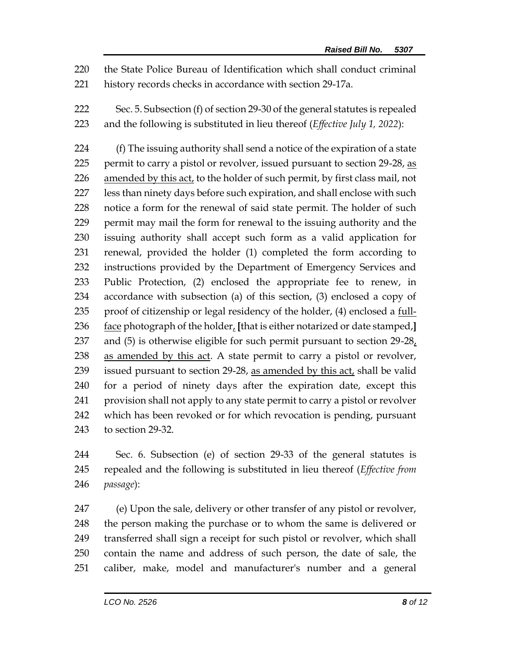the State Police Bureau of Identification which shall conduct criminal history records checks in accordance with section 29-17a.

 Sec. 5. Subsection (f) of section 29-30 of the general statutes is repealed and the following is substituted in lieu thereof (*Effective July 1, 2022*):

 (f) The issuing authority shall send a notice of the expiration of a state permit to carry a pistol or revolver, issued pursuant to section 29-28, as 226 amended by this act, to the holder of such permit, by first class mail, not less than ninety days before such expiration, and shall enclose with such notice a form for the renewal of said state permit. The holder of such permit may mail the form for renewal to the issuing authority and the issuing authority shall accept such form as a valid application for renewal, provided the holder (1) completed the form according to instructions provided by the Department of Emergency Services and Public Protection, (2) enclosed the appropriate fee to renew, in accordance with subsection (a) of this section, (3) enclosed a copy of 235 proof of citizenship or legal residency of the holder, (4) enclosed a full- face photograph of the holder, **[**that is either notarized or date stamped,**]** and (5) is otherwise eligible for such permit pursuant to section 29-28, as amended by this act. A state permit to carry a pistol or revolver, issued pursuant to section 29-28, as amended by this act, shall be valid for a period of ninety days after the expiration date, except this provision shall not apply to any state permit to carry a pistol or revolver which has been revoked or for which revocation is pending, pursuant to section 29-32.

 Sec. 6. Subsection (e) of section 29-33 of the general statutes is repealed and the following is substituted in lieu thereof (*Effective from passage*):

 (e) Upon the sale, delivery or other transfer of any pistol or revolver, the person making the purchase or to whom the same is delivered or transferred shall sign a receipt for such pistol or revolver, which shall contain the name and address of such person, the date of sale, the caliber, make, model and manufacturer's number and a general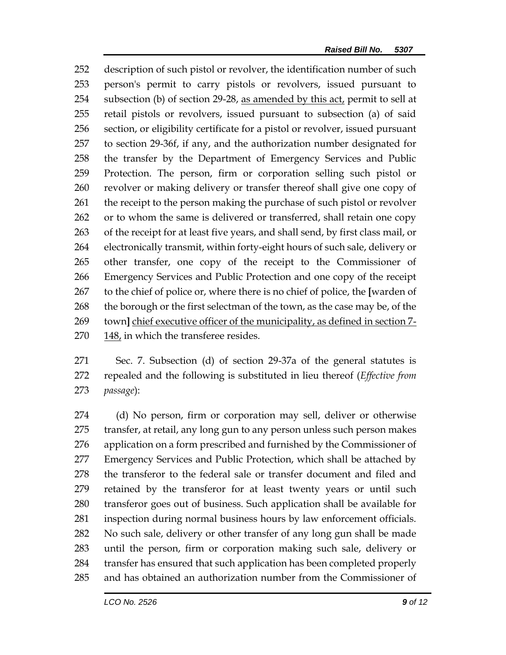description of such pistol or revolver, the identification number of such person's permit to carry pistols or revolvers, issued pursuant to 254 subsection (b) of section 29-28, as amended by this act, permit to sell at retail pistols or revolvers, issued pursuant to subsection (a) of said section, or eligibility certificate for a pistol or revolver, issued pursuant to section 29-36f, if any, and the authorization number designated for the transfer by the Department of Emergency Services and Public Protection. The person, firm or corporation selling such pistol or revolver or making delivery or transfer thereof shall give one copy of 261 the receipt to the person making the purchase of such pistol or revolver or to whom the same is delivered or transferred, shall retain one copy of the receipt for at least five years, and shall send, by first class mail, or electronically transmit, within forty-eight hours of such sale, delivery or other transfer, one copy of the receipt to the Commissioner of Emergency Services and Public Protection and one copy of the receipt to the chief of police or, where there is no chief of police, the **[**warden of 268 the borough or the first selectman of the town, as the case may be, of the 269 town] chief executive officer of the municipality, as defined in section 7-, in which the transferee resides.

 Sec. 7. Subsection (d) of section 29-37a of the general statutes is repealed and the following is substituted in lieu thereof (*Effective from passage*):

 (d) No person, firm or corporation may sell, deliver or otherwise 275 transfer, at retail, any long gun to any person unless such person makes application on a form prescribed and furnished by the Commissioner of Emergency Services and Public Protection, which shall be attached by the transferor to the federal sale or transfer document and filed and retained by the transferor for at least twenty years or until such transferor goes out of business. Such application shall be available for inspection during normal business hours by law enforcement officials. No such sale, delivery or other transfer of any long gun shall be made until the person, firm or corporation making such sale, delivery or transfer has ensured that such application has been completed properly and has obtained an authorization number from the Commissioner of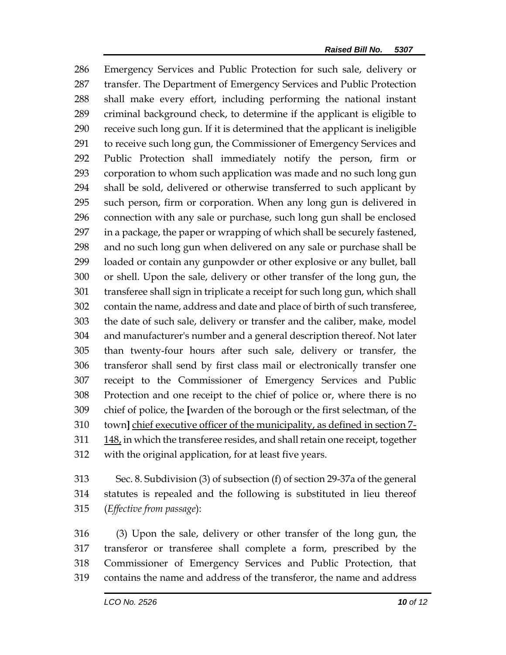Emergency Services and Public Protection for such sale, delivery or transfer. The Department of Emergency Services and Public Protection shall make every effort, including performing the national instant criminal background check, to determine if the applicant is eligible to receive such long gun. If it is determined that the applicant is ineligible 291 to receive such long gun, the Commissioner of Emergency Services and Public Protection shall immediately notify the person, firm or corporation to whom such application was made and no such long gun shall be sold, delivered or otherwise transferred to such applicant by such person, firm or corporation. When any long gun is delivered in connection with any sale or purchase, such long gun shall be enclosed in a package, the paper or wrapping of which shall be securely fastened, and no such long gun when delivered on any sale or purchase shall be loaded or contain any gunpowder or other explosive or any bullet, ball or shell. Upon the sale, delivery or other transfer of the long gun, the transferee shall sign in triplicate a receipt for such long gun, which shall contain the name, address and date and place of birth of such transferee, the date of such sale, delivery or transfer and the caliber, make, model and manufacturer's number and a general description thereof. Not later than twenty-four hours after such sale, delivery or transfer, the transferor shall send by first class mail or electronically transfer one receipt to the Commissioner of Emergency Services and Public Protection and one receipt to the chief of police or, where there is no chief of police, the **[**warden of the borough or the first selectman, of the town**]** chief executive officer of the municipality, as defined in section 7- 148, in which the transferee resides, and shall retain one receipt, together with the original application, for at least five years.

 Sec. 8. Subdivision (3) of subsection (f) of section 29-37a of the general statutes is repealed and the following is substituted in lieu thereof (*Effective from passage*):

 (3) Upon the sale, delivery or other transfer of the long gun, the transferor or transferee shall complete a form, prescribed by the Commissioner of Emergency Services and Public Protection, that contains the name and address of the transferor, the name and address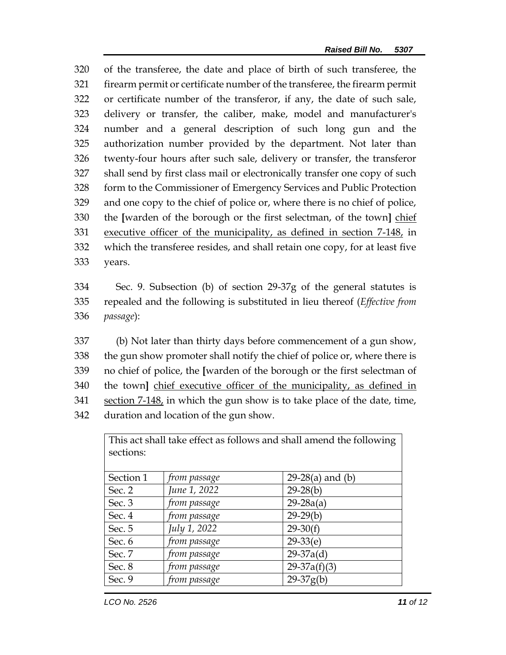of the transferee, the date and place of birth of such transferee, the firearm permit or certificate number of the transferee, the firearm permit or certificate number of the transferor, if any, the date of such sale, delivery or transfer, the caliber, make, model and manufacturer's number and a general description of such long gun and the authorization number provided by the department. Not later than twenty-four hours after such sale, delivery or transfer, the transferor shall send by first class mail or electronically transfer one copy of such form to the Commissioner of Emergency Services and Public Protection and one copy to the chief of police or, where there is no chief of police, the **[**warden of the borough or the first selectman, of the town**]** chief executive officer of the municipality, as defined in section 7-148, in which the transferee resides, and shall retain one copy, for at least five years.

 Sec. 9. Subsection (b) of section 29-37g of the general statutes is repealed and the following is substituted in lieu thereof (*Effective from passage*):

 (b) Not later than thirty days before commencement of a gun show, the gun show promoter shall notify the chief of police or, where there is no chief of police, the **[**warden of the borough or the first selectman of the town**]** chief executive officer of the municipality, as defined in 341 section 7-148, in which the gun show is to take place of the date, time, duration and location of the gun show.

| This act shall take effect as follows and shall amend the following<br>sections: |              |                    |
|----------------------------------------------------------------------------------|--------------|--------------------|
| Section 1                                                                        | from passage | $29-28(a)$ and (b) |
| Sec. 2                                                                           | June 1, 2022 | $29-28(b)$         |
| Sec. 3                                                                           | from passage | $29 - 28a(a)$      |
| Sec. 4                                                                           | from passage | $29-29(b)$         |
| Sec. 5                                                                           | July 1, 2022 | $29-30(f)$         |
| Sec. 6                                                                           | from passage | $29-33(e)$         |
| Sec. 7                                                                           | from passage | $29-37a(d)$        |
| Sec. 8                                                                           | from passage | $29-37a(f)(3)$     |
| Sec. 9                                                                           | from passage | $29-37g(b)$        |

This act shall take effect as follows and shall amend the following